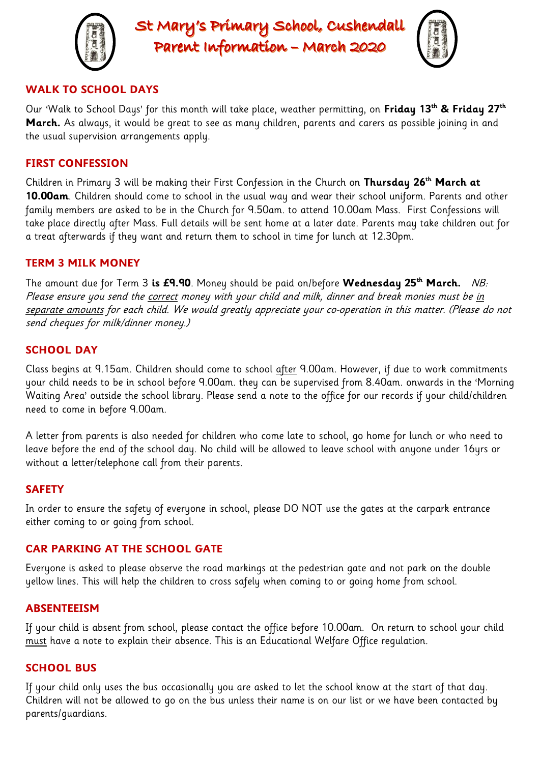

St Mary's Primary School, Cushendall Parent Information - March 2020



# **WALK TO SCHOOL DAYS**

Our 'Walk to School Days' for this month will take place, weather permitting, on **Friday 13th & Friday 27th March.** As always, it would be great to see as many children, parents and carers as possible joining in and the usual supervision arrangements apply.

### **FIRST CONFESSION**

Children in Primary 3 will be making their First Confession in the Church on **Thursday 26th March at 10.00am**. Children should come to school in the usual way and wear their school uniform. Parents and other family members are asked to be in the Church for 9.50am. to attend 10.00am Mass. First Confessions will take place directly after Mass. Full details will be sent home at a later date. Parents may take children out for a treat afterwards if they want and return them to school in time for lunch at 12.30pm.

### **TERM 3 MILK MONEY**

The amount due for Term 3 **is £9.90**. Money should be paid on/before **Wednesday 25th March.** NB: Please ensure you send the correct money with your child and milk, dinner and break monies must be in separate amounts for each child. We would greatly appreciate your co-operation in this matter. (Please do not send cheques for milk/dinner money.)

## **SCHOOL DAY**

Class begins at 9.15am. Children should come to school after 9.00am. However, if due to work commitments your child needs to be in school before 9.00am. they can be supervised from 8.40am. onwards in the 'Morning Waiting Area' outside the school library. Please send a note to the office for our records if your child/children need to come in before 9.00am.

A letter from parents is also needed for children who come late to school, go home for lunch or who need to leave before the end of the school day. No child will be allowed to leave school with anyone under 16yrs or without a letter/telephone call from their parents.

### **SAFETY**

In order to ensure the safety of everyone in school, please DO NOT use the gates at the carpark entrance either coming to or going from school.

### **CAR PARKING AT THE SCHOOL GATE**

Everyone is asked to please observe the road markings at the pedestrian gate and not park on the double yellow lines. This will help the children to cross safely when coming to or going home from school.

#### **ABSENTEEISM**

If your child is absent from school, please contact the office before 10.00am. On return to school your child must have a note to explain their absence. This is an Educational Welfare Office regulation.

#### **SCHOOL BUS**

If your child only uses the bus occasionally you are asked to let the school know at the start of that day. Children will not be allowed to go on the bus unless their name is on our list or we have been contacted by parents/guardians.